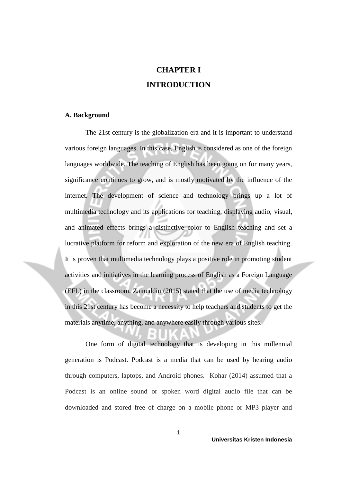# **CHAPTER I INTRODUCTION**

#### **A. Background**

The 21st century is the globalization era and it is important to understand various foreign languages. In this case, English is considered as one of the foreign languages worldwide. The teaching of English has been going on for many years, significance continues to grow, and is mostly motivated by the influence of the internet. The development of science and technology brings up a lot of multimedia technology and its applications for teaching, displaying audio, visual, and animated effects brings a distinctive color to English teaching and set a lucrative platform for reform and exploration of the new era of English teaching. It is proven that multimedia technology plays a positive role in promoting student activities and initiatives in the learning process of English as a Foreign Language (EFL) in the classroom. Zainuddin (2015) stated that the use of media technology in this 21st century has become a necessity to help teachers and students to get the materials anytime, anything, and anywhere easily through various sites.

One form of digital technology that is developing in this millennial generation is Podcast. Podcast is a media that can be used by hearing audio through computers, laptops, and Android phones. Kohar (2014) assumed that a Podcast is an online sound or spoken word digital audio file that can be downloaded and stored free of charge on a mobile phone or MP3 player and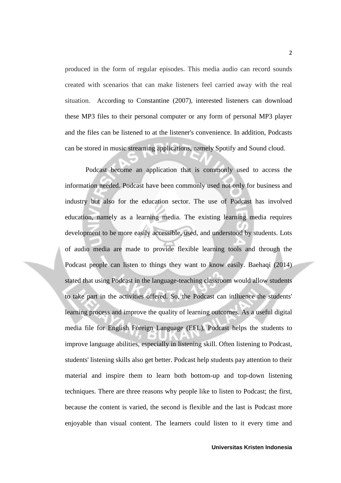produced in the form of regular episodes. This media audio can record sounds created with scenarios that can make listeners feel carried away with the real situation. According to Constantine (2007), interested listeners can download these MP3 files to their personal computer or any form of personal MP3 player and the files can be listened to at the listener's convenience. In addition, Podcasts can be stored in music streaming applications, namely Spotify and Sound cloud.

Podcast become an application that is commonly used to access the information needed. Podcast have been commonly used not only for business and industry but also for the education sector. The use of Podcast has involved education, namely as a learning media. The existing learning media requires development to be more easily accessible, used, and understood by students. Lots of audio media are made to provide flexible learning tools and through the Podcast people can listen to things they want to know easily. Baehaqi (2014) stated that using Podcast in the language-teaching classroom would allow students to take part in the activities offered. So, the Podcast can influence the students' learning process and improve the quality of learning outcomes. As a useful digital media file for English Foreign Language (EFL), Podcast helps the students to improve language abilities, especially in listening skill. Often listening to Podcast, students' listening skills also get better. Podcast help students pay attention to their material and inspire them to learn both bottom-up and top-down listening techniques. There are three reasons why people like to listen to Podcast; the first, because the content is varied, the second is flexible and the last is Podcast more enjoyable than visual content. The learners could listen to it every time and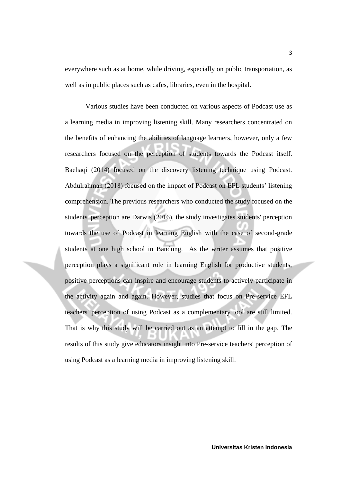everywhere such as at home, while driving, especially on public transportation, as well as in public places such as cafes, libraries, even in the hospital.

Various studies have been conducted on various aspects of Podcast use as a learning media in improving listening skill. Many researchers concentrated on the benefits of enhancing the abilities of language learners, however, only a few researchers focused on the perception of students towards the Podcast itself. Baehaqi (2014) focused on the discovery listening technique using Podcast. Abdulrahman (2018) focused on the impact of Podcast on EFL students' listening comprehension. The previous researchers who conducted the study focused on the students' perception are Darwis (2016), the study investigates students' perception towards the use of Podcast in learning English with the case of second-grade students at one high school in Bandung. As the writer assumes that positive perception plays a significant role in learning English for productive students, positive perceptions can inspire and encourage students to actively participate in the activity again and again. However, studies that focus on Pre-service EFL teachers' perception of using Podcast as a complementary tool are still limited. That is why this study will be carried out as an attempt to fill in the gap. The results of this study give educators insight into Pre-service teachers' perception of using Podcast as a learning media in improving listening skill.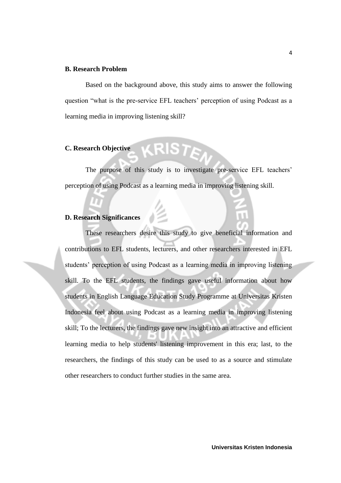# **B. Research Problem**

Based on the background above, this study aims to answer the following question "what is the pre-service EFL teachers' perception of using Podcast as a learning media in improving listening skill?

# **C. Research Objective**

The purpose of this study is to investigate pre-service EFL teachers' perception of using Podcast as a learning media in improving listening skill.

### **D. Research Significances**

These researchers desire this study to give beneficial information and contributions to EFL students, lecturers, and other researchers interested in EFL students' perception of using Podcast as a learning media in improving listening skill. To the EFL students, the findings gave useful information about how students in English Language Education Study Programme at Universitas Kristen Indonesia feel about using Podcast as a learning media in improving listening skill; To the lecturers, the findings gave new insight into an attractive and efficient learning media to help students' listening improvement in this era; last, to the researchers, the findings of this study can be used to as a source and stimulate other researchers to conduct further studies in the same area.